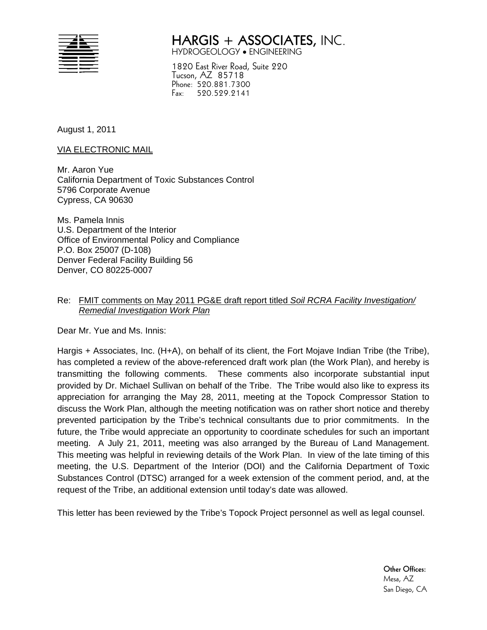

# **HARGIS + ASSOCIATES,** INC. HYDROGEOLOGY ENGINEERING

1820 East River Road, Suite 220 Tucson, AZ 85718 Phone: 520.881.7300 Fax: 520.529.2141

August 1, 2011

VIA ELECTRONIC MAIL

Mr. Aaron Yue California Department of Toxic Substances Control 5796 Corporate Avenue Cypress, CA 90630

Ms. Pamela Innis U.S. Department of the Interior Office of Environmental Policy and Compliance P.O. Box 25007 (D-108) Denver Federal Facility Building 56 Denver, CO 80225-0007

### Re: FMIT comments on May 2011 PG&E draft report titled *Soil RCRA Facility Investigation/ Remedial Investigation Work Plan*

Dear Mr. Yue and Ms. Innis:

Hargis + Associates, Inc. (H+A), on behalf of its client, the Fort Mojave Indian Tribe (the Tribe), has completed a review of the above-referenced draft work plan (the Work Plan), and hereby is transmitting the following comments. These comments also incorporate substantial input provided by Dr. Michael Sullivan on behalf of the Tribe. The Tribe would also like to express its appreciation for arranging the May 28, 2011, meeting at the Topock Compressor Station to discuss the Work Plan, although the meeting notification was on rather short notice and thereby prevented participation by the Tribe's technical consultants due to prior commitments. In the future, the Tribe would appreciate an opportunity to coordinate schedules for such an important meeting. A July 21, 2011, meeting was also arranged by the Bureau of Land Management. This meeting was helpful in reviewing details of the Work Plan. In view of the late timing of this meeting, the U.S. Department of the Interior (DOI) and the California Department of Toxic Substances Control (DTSC) arranged for a week extension of the comment period, and, at the request of the Tribe, an additional extension until today's date was allowed.

This letter has been reviewed by the Tribe's Topock Project personnel as well as legal counsel.

**Other Offices:**  Mesa, AZ San Diego, CA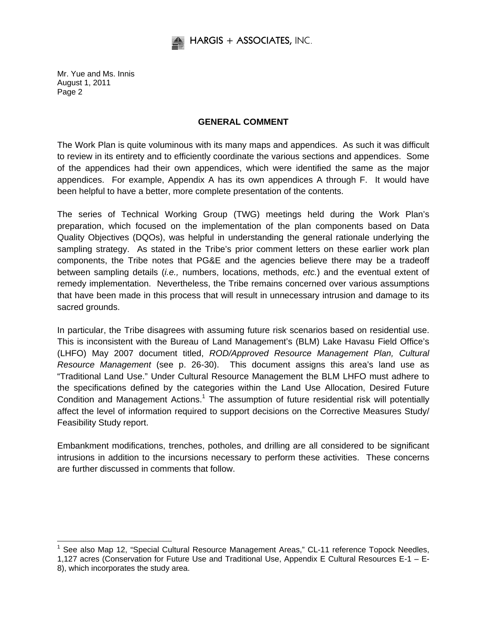

### **GENERAL COMMENT**

The Work Plan is quite voluminous with its many maps and appendices. As such it was difficult to review in its entirety and to efficiently coordinate the various sections and appendices. Some of the appendices had their own appendices, which were identified the same as the major appendices. For example, Appendix A has its own appendices A through F. It would have been helpful to have a better, more complete presentation of the contents.

The series of Technical Working Group (TWG) meetings held during the Work Plan's preparation, which focused on the implementation of the plan components based on Data Quality Objectives (DQOs), was helpful in understanding the general rationale underlying the sampling strategy. As stated in the Tribe's prior comment letters on these earlier work plan components, the Tribe notes that PG&E and the agencies believe there may be a tradeoff between sampling details (*i.e.,* numbers, locations, methods, *etc.*) and the eventual extent of remedy implementation. Nevertheless, the Tribe remains concerned over various assumptions that have been made in this process that will result in unnecessary intrusion and damage to its sacred grounds.

In particular, the Tribe disagrees with assuming future risk scenarios based on residential use. This is inconsistent with the Bureau of Land Management's (BLM) Lake Havasu Field Office's (LHFO) May 2007 document titled, *ROD/Approved Resource Management Plan, Cultural Resource Management* (see p. 26-30). This document assigns this area's land use as "Traditional Land Use." Under Cultural Resource Management the BLM LHFO must adhere to the specifications defined by the categories within the Land Use Allocation, Desired Future Condition and Management Actions.<sup>1</sup> The assumption of future residential risk will potentially affect the level of information required to support decisions on the Corrective Measures Study/ Feasibility Study report.

Embankment modifications, trenches, potholes, and drilling are all considered to be significant intrusions in addition to the incursions necessary to perform these activities. These concerns are further discussed in comments that follow.

 $\overline{a}$ <sup>1</sup> See also Map 12, "Special Cultural Resource Management Areas," CL-11 reference Topock Needles,

<sup>1,127</sup> acres (Conservation for Future Use and Traditional Use, Appendix E Cultural Resources E-1 – E-8), which incorporates the study area.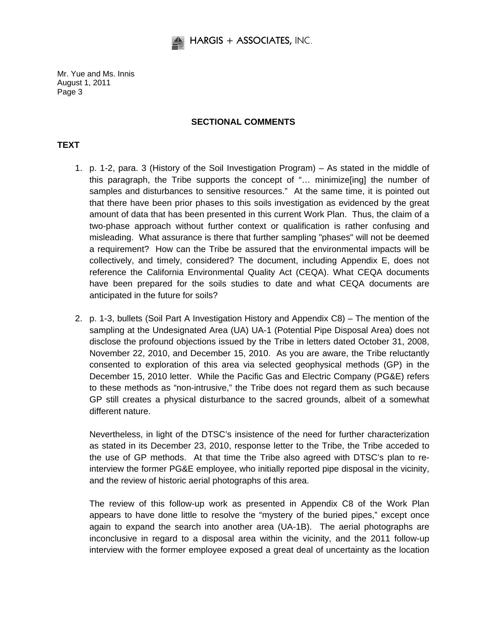

### **SECTIONAL COMMENTS**

# **TEXT**

- 1. p. 1-2, para. 3 (History of the Soil Investigation Program) As stated in the middle of this paragraph, the Tribe supports the concept of "… minimize[ing] the number of samples and disturbances to sensitive resources." At the same time, it is pointed out that there have been prior phases to this soils investigation as evidenced by the great amount of data that has been presented in this current Work Plan. Thus, the claim of a two-phase approach without further context or qualification is rather confusing and misleading. What assurance is there that further sampling "phases" will not be deemed a requirement? How can the Tribe be assured that the environmental impacts will be collectively, and timely, considered? The document, including Appendix E, does not reference the California Environmental Quality Act (CEQA). What CEQA documents have been prepared for the soils studies to date and what CEQA documents are anticipated in the future for soils?
- 2. p. 1-3, bullets (Soil Part A Investigation History and Appendix C8) The mention of the sampling at the Undesignated Area (UA) UA-1 (Potential Pipe Disposal Area) does not disclose the profound objections issued by the Tribe in letters dated October 31, 2008, November 22, 2010, and December 15, 2010. As you are aware, the Tribe reluctantly consented to exploration of this area via selected geophysical methods (GP) in the December 15, 2010 letter. While the Pacific Gas and Electric Company (PG&E) refers to these methods as "non-intrusive," the Tribe does not regard them as such because GP still creates a physical disturbance to the sacred grounds, albeit of a somewhat different nature.

Nevertheless, in light of the DTSC's insistence of the need for further characterization as stated in its December 23, 2010, response letter to the Tribe, the Tribe acceded to the use of GP methods. At that time the Tribe also agreed with DTSC's plan to reinterview the former PG&E employee, who initially reported pipe disposal in the vicinity, and the review of historic aerial photographs of this area.

The review of this follow-up work as presented in Appendix C8 of the Work Plan appears to have done little to resolve the "mystery of the buried pipes," except once again to expand the search into another area (UA-1B). The aerial photographs are inconclusive in regard to a disposal area within the vicinity, and the 2011 follow-up interview with the former employee exposed a great deal of uncertainty as the location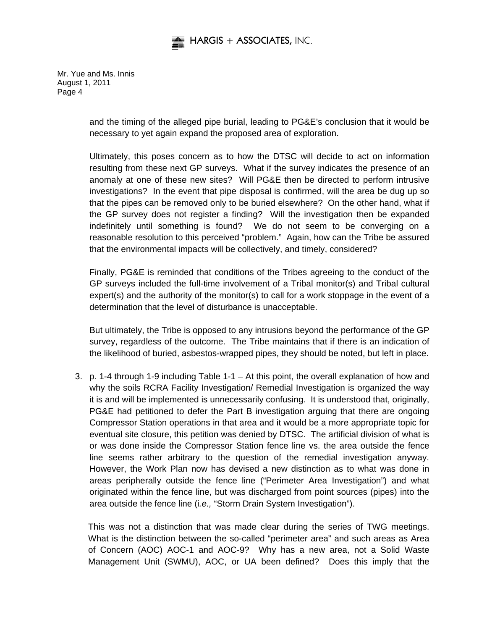

> and the timing of the alleged pipe burial, leading to PG&E's conclusion that it would be necessary to yet again expand the proposed area of exploration.

> Ultimately, this poses concern as to how the DTSC will decide to act on information resulting from these next GP surveys. What if the survey indicates the presence of an anomaly at one of these new sites? Will PG&E then be directed to perform intrusive investigations? In the event that pipe disposal is confirmed, will the area be dug up so that the pipes can be removed only to be buried elsewhere? On the other hand, what if the GP survey does not register a finding? Will the investigation then be expanded indefinitely until something is found? We do not seem to be converging on a reasonable resolution to this perceived "problem." Again, how can the Tribe be assured that the environmental impacts will be collectively, and timely, considered?

> Finally, PG&E is reminded that conditions of the Tribes agreeing to the conduct of the GP surveys included the full-time involvement of a Tribal monitor(s) and Tribal cultural expert(s) and the authority of the monitor(s) to call for a work stoppage in the event of a determination that the level of disturbance is unacceptable.

> But ultimately, the Tribe is opposed to any intrusions beyond the performance of the GP survey, regardless of the outcome. The Tribe maintains that if there is an indication of the likelihood of buried, asbestos-wrapped pipes, they should be noted, but left in place.

3. p. 1-4 through 1-9 including Table 1-1 – At this point, the overall explanation of how and why the soils RCRA Facility Investigation/ Remedial Investigation is organized the way it is and will be implemented is unnecessarily confusing. It is understood that, originally, PG&E had petitioned to defer the Part B investigation arguing that there are ongoing Compressor Station operations in that area and it would be a more appropriate topic for eventual site closure, this petition was denied by DTSC. The artificial division of what is or was done inside the Compressor Station fence line vs. the area outside the fence line seems rather arbitrary to the question of the remedial investigation anyway. However, the Work Plan now has devised a new distinction as to what was done in areas peripherally outside the fence line ("Perimeter Area Investigation") and what originated within the fence line, but was discharged from point sources (pipes) into the area outside the fence line (i*.e.,* "Storm Drain System Investigation").

This was not a distinction that was made clear during the series of TWG meetings. What is the distinction between the so-called "perimeter area" and such areas as Area of Concern (AOC) AOC-1 and AOC-9? Why has a new area, not a Solid Waste Management Unit (SWMU), AOC, or UA been defined? Does this imply that the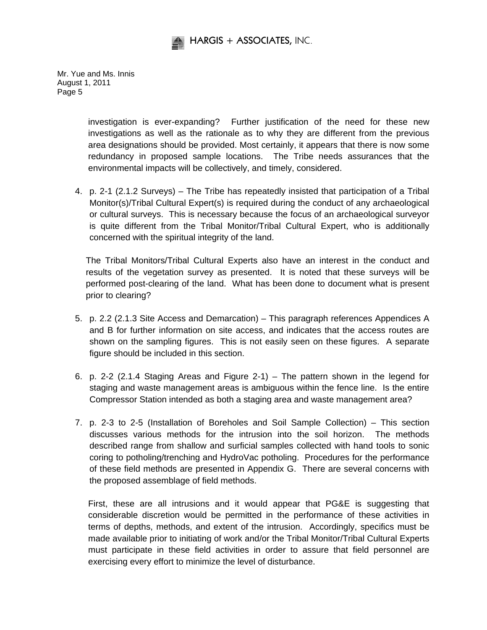

> investigation is ever-expanding? Further justification of the need for these new investigations as well as the rationale as to why they are different from the previous area designations should be provided. Most certainly, it appears that there is now some redundancy in proposed sample locations. The Tribe needs assurances that the environmental impacts will be collectively, and timely, considered.

4. p. 2-1 (2.1.2 Surveys) – The Tribe has repeatedly insisted that participation of a Tribal Monitor(s)/Tribal Cultural Expert(s) is required during the conduct of any archaeological or cultural surveys. This is necessary because the focus of an archaeological surveyor is quite different from the Tribal Monitor/Tribal Cultural Expert, who is additionally concerned with the spiritual integrity of the land.

The Tribal Monitors/Tribal Cultural Experts also have an interest in the conduct and results of the vegetation survey as presented. It is noted that these surveys will be performed post-clearing of the land. What has been done to document what is present prior to clearing?

- 5. p. 2.2 (2.1.3 Site Access and Demarcation) This paragraph references Appendices A and B for further information on site access, and indicates that the access routes are shown on the sampling figures. This is not easily seen on these figures. A separate figure should be included in this section.
- 6. p. 2-2 (2.1.4 Staging Areas and Figure 2-1) The pattern shown in the legend for staging and waste management areas is ambiguous within the fence line. Is the entire Compressor Station intended as both a staging area and waste management area?
- 7. p. 2-3 to 2-5 (Installation of Boreholes and Soil Sample Collection) This section discusses various methods for the intrusion into the soil horizon. The methods described range from shallow and surficial samples collected with hand tools to sonic coring to potholing/trenching and HydroVac potholing. Procedures for the performance of these field methods are presented in Appendix G. There are several concerns with the proposed assemblage of field methods.

First, these are all intrusions and it would appear that PG&E is suggesting that considerable discretion would be permitted in the performance of these activities in terms of depths, methods, and extent of the intrusion. Accordingly, specifics must be made available prior to initiating of work and/or the Tribal Monitor/Tribal Cultural Experts must participate in these field activities in order to assure that field personnel are exercising every effort to minimize the level of disturbance.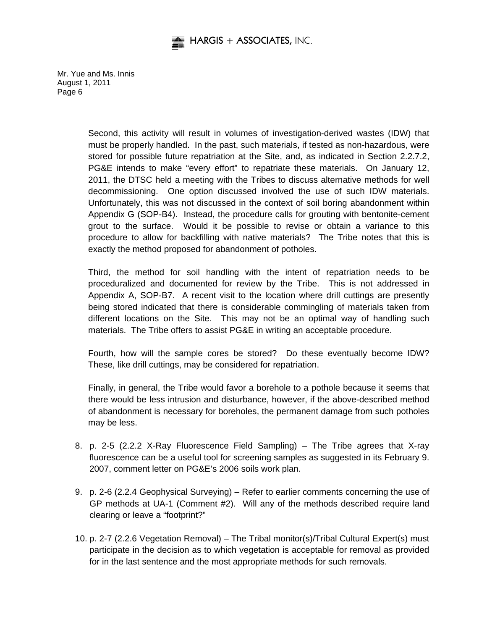

> Second, this activity will result in volumes of investigation-derived wastes (IDW) that must be properly handled. In the past, such materials, if tested as non-hazardous, were stored for possible future repatriation at the Site, and, as indicated in Section 2.2.7.2, PG&E intends to make "every effort" to repatriate these materials. On January 12, 2011, the DTSC held a meeting with the Tribes to discuss alternative methods for well decommissioning. One option discussed involved the use of such IDW materials. Unfortunately, this was not discussed in the context of soil boring abandonment within Appendix G (SOP-B4). Instead, the procedure calls for grouting with bentonite-cement grout to the surface. Would it be possible to revise or obtain a variance to this procedure to allow for backfilling with native materials? The Tribe notes that this is exactly the method proposed for abandonment of potholes.

> Third, the method for soil handling with the intent of repatriation needs to be proceduralized and documented for review by the Tribe. This is not addressed in Appendix A, SOP-B7. A recent visit to the location where drill cuttings are presently being stored indicated that there is considerable commingling of materials taken from different locations on the Site. This may not be an optimal way of handling such materials. The Tribe offers to assist PG&E in writing an acceptable procedure.

> Fourth, how will the sample cores be stored? Do these eventually become IDW? These, like drill cuttings, may be considered for repatriation.

> Finally, in general, the Tribe would favor a borehole to a pothole because it seems that there would be less intrusion and disturbance, however, if the above-described method of abandonment is necessary for boreholes, the permanent damage from such potholes may be less.

- 8. p. 2-5 (2.2.2 X-Ray Fluorescence Field Sampling) The Tribe agrees that X-ray fluorescence can be a useful tool for screening samples as suggested in its February 9. 2007, comment letter on PG&E's 2006 soils work plan.
- 9. p. 2-6 (2.2.4 Geophysical Surveying) Refer to earlier comments concerning the use of GP methods at UA-1 (Comment #2). Will any of the methods described require land clearing or leave a "footprint?"
- 10. p. 2-7 (2.2.6 Vegetation Removal) The Tribal monitor(s)/Tribal Cultural Expert(s) must participate in the decision as to which vegetation is acceptable for removal as provided for in the last sentence and the most appropriate methods for such removals.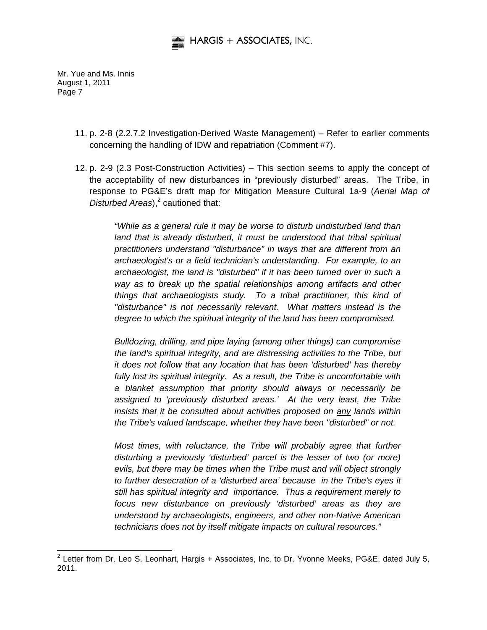

-

- 11. p. 2-8 (2.2.7.2 Investigation-Derived Waste Management) Refer to earlier comments concerning the handling of IDW and repatriation (Comment #7).
- 12. p. 2-9 (2.3 Post-Construction Activities) This section seems to apply the concept of the acceptability of new disturbances in "previously disturbed" areas. The Tribe, in response to PG&E's draft map for Mitigation Measure Cultural 1a-9 (*Aerial Map of*  Disturbed Areas),<sup>2</sup> cautioned that:

*"While as a general rule it may be worse to disturb undisturbed land than*  land that is already disturbed, it must be understood that tribal spiritual *practitioners understand "disturbance" in ways that are different from an archaeologist's or a field technician's understanding. For example, to an archaeologist, the land is "disturbed" if it has been turned over in such a way as to break up the spatial relationships among artifacts and other things that archaeologists study. To a tribal practitioner, this kind of "disturbance" is not necessarily relevant. What matters instead is the degree to which the spiritual integrity of the land has been compromised.* 

*Bulldozing, drilling, and pipe laying (among other things) can compromise the land's spiritual integrity, and are distressing activities to the Tribe, but it does not follow that any location that has been 'disturbed' has thereby fully lost its spiritual integrity. As a result, the Tribe is uncomfortable with a blanket assumption that priority should always or necessarily be assigned to 'previously disturbed areas.' At the very least, the Tribe insists that it be consulted about activities proposed on any lands within the Tribe's valued landscape, whether they have been "disturbed" or not.* 

*Most times, with reluctance, the Tribe will probably agree that further disturbing a previously 'disturbed' parcel is the lesser of two (or more) evils, but there may be times when the Tribe must and will object strongly to further desecration of a 'disturbed area' because in the Tribe's eyes it still has spiritual integrity and importance. Thus a requirement merely to focus new disturbance on previously 'disturbed' areas as they are understood by archaeologists, engineers, and other non-Native American technicians does not by itself mitigate impacts on cultural resources."* 

 $2$  Letter from Dr. Leo S. Leonhart, Hargis + Associates, Inc. to Dr. Yvonne Meeks, PG&E, dated July 5, 2011.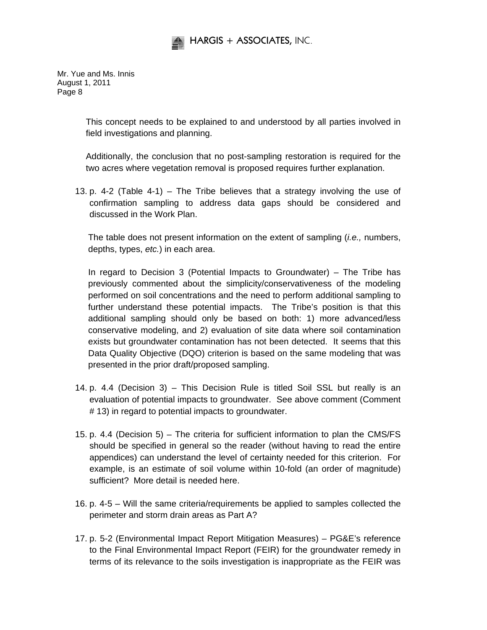

> This concept needs to be explained to and understood by all parties involved in field investigations and planning.

> Additionally, the conclusion that no post-sampling restoration is required for the two acres where vegetation removal is proposed requires further explanation.

13. p. 4-2 (Table 4-1) – The Tribe believes that a strategy involving the use of confirmation sampling to address data gaps should be considered and discussed in the Work Plan.

The table does not present information on the extent of sampling (*i.e.,* numbers, depths, types, *etc.*) in each area.

In regard to Decision 3 (Potential Impacts to Groundwater) – The Tribe has previously commented about the simplicity/conservativeness of the modeling performed on soil concentrations and the need to perform additional sampling to further understand these potential impacts. The Tribe's position is that this additional sampling should only be based on both: 1) more advanced/less conservative modeling, and 2) evaluation of site data where soil contamination exists but groundwater contamination has not been detected. It seems that this Data Quality Objective (DQO) criterion is based on the same modeling that was presented in the prior draft/proposed sampling.

- 14. p. 4.4 (Decision 3) This Decision Rule is titled Soil SSL but really is an evaluation of potential impacts to groundwater. See above comment (Comment # 13) in regard to potential impacts to groundwater.
- 15. p. 4.4 (Decision 5) The criteria for sufficient information to plan the CMS/FS should be specified in general so the reader (without having to read the entire appendices) can understand the level of certainty needed for this criterion. For example, is an estimate of soil volume within 10-fold (an order of magnitude) sufficient? More detail is needed here.
- 16. p. 4-5 Will the same criteria/requirements be applied to samples collected the perimeter and storm drain areas as Part A?
- 17. p. 5-2 (Environmental Impact Report Mitigation Measures) PG&E's reference to the Final Environmental Impact Report (FEIR) for the groundwater remedy in terms of its relevance to the soils investigation is inappropriate as the FEIR was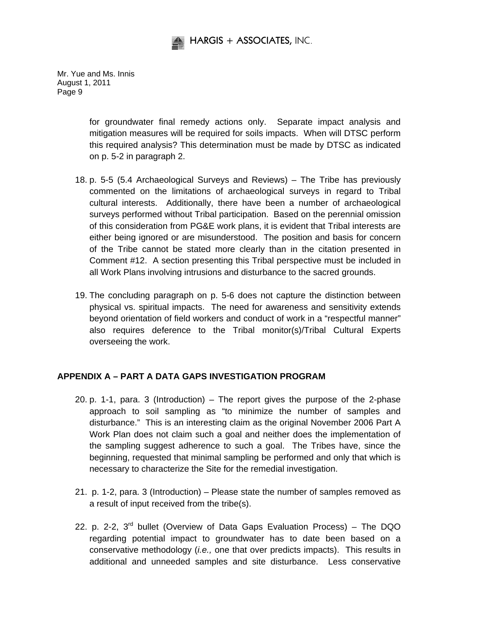

> for groundwater final remedy actions only. Separate impact analysis and mitigation measures will be required for soils impacts. When will DTSC perform this required analysis? This determination must be made by DTSC as indicated on p. 5-2 in paragraph 2.

- 18. p. 5-5 (5.4 Archaeological Surveys and Reviews) The Tribe has previously commented on the limitations of archaeological surveys in regard to Tribal cultural interests. Additionally, there have been a number of archaeological surveys performed without Tribal participation. Based on the perennial omission of this consideration from PG&E work plans, it is evident that Tribal interests are either being ignored or are misunderstood. The position and basis for concern of the Tribe cannot be stated more clearly than in the citation presented in Comment #12. A section presenting this Tribal perspective must be included in all Work Plans involving intrusions and disturbance to the sacred grounds.
- 19. The concluding paragraph on p. 5-6 does not capture the distinction between physical vs. spiritual impacts. The need for awareness and sensitivity extends beyond orientation of field workers and conduct of work in a "respectful manner" also requires deference to the Tribal monitor(s)/Tribal Cultural Experts overseeing the work.

# **APPENDIX A – PART A DATA GAPS INVESTIGATION PROGRAM**

- 20. p. 1-1, para. 3 (Introduction) The report gives the purpose of the 2-phase approach to soil sampling as "to minimize the number of samples and disturbance." This is an interesting claim as the original November 2006 Part A Work Plan does not claim such a goal and neither does the implementation of the sampling suggest adherence to such a goal. The Tribes have, since the beginning, requested that minimal sampling be performed and only that which is necessary to characterize the Site for the remedial investigation.
- 21. p. 1-2, para. 3 (Introduction) Please state the number of samples removed as a result of input received from the tribe(s).
- 22. p. 2-2,  $3^{rd}$  bullet (Overview of Data Gaps Evaluation Process) The DQO regarding potential impact to groundwater has to date been based on a conservative methodology (*i.e.,* one that over predicts impacts). This results in additional and unneeded samples and site disturbance. Less conservative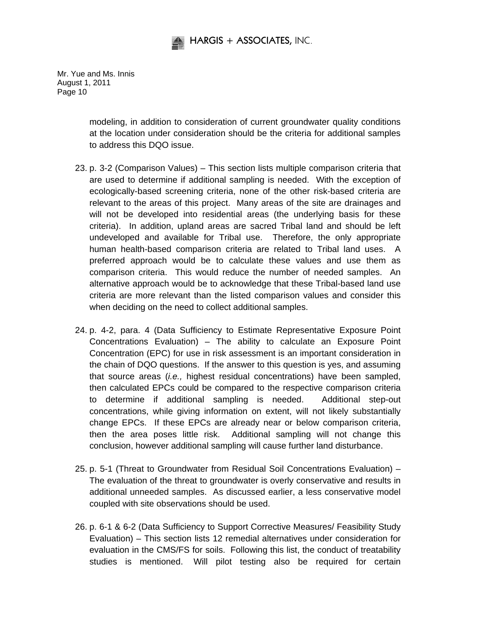

> modeling, in addition to consideration of current groundwater quality conditions at the location under consideration should be the criteria for additional samples to address this DQO issue.

- 23. p. 3-2 (Comparison Values) This section lists multiple comparison criteria that are used to determine if additional sampling is needed. With the exception of ecologically-based screening criteria, none of the other risk-based criteria are relevant to the areas of this project. Many areas of the site are drainages and will not be developed into residential areas (the underlying basis for these criteria). In addition, upland areas are sacred Tribal land and should be left undeveloped and available for Tribal use. Therefore, the only appropriate human health-based comparison criteria are related to Tribal land uses. A preferred approach would be to calculate these values and use them as comparison criteria. This would reduce the number of needed samples. An alternative approach would be to acknowledge that these Tribal-based land use criteria are more relevant than the listed comparison values and consider this when deciding on the need to collect additional samples.
- 24. p. 4-2, para. 4 (Data Sufficiency to Estimate Representative Exposure Point Concentrations Evaluation) – The ability to calculate an Exposure Point Concentration (EPC) for use in risk assessment is an important consideration in the chain of DQO questions. If the answer to this question is yes, and assuming that source areas (*i.e.,* highest residual concentrations) have been sampled, then calculated EPCs could be compared to the respective comparison criteria to determine if additional sampling is needed. Additional step-out concentrations, while giving information on extent, will not likely substantially change EPCs. If these EPCs are already near or below comparison criteria, then the area poses little risk. Additional sampling will not change this conclusion, however additional sampling will cause further land disturbance.
- 25. p. 5-1 (Threat to Groundwater from Residual Soil Concentrations Evaluation) The evaluation of the threat to groundwater is overly conservative and results in additional unneeded samples. As discussed earlier, a less conservative model coupled with site observations should be used.
- 26. p. 6-1 & 6-2 (Data Sufficiency to Support Corrective Measures/ Feasibility Study Evaluation) – This section lists 12 remedial alternatives under consideration for evaluation in the CMS/FS for soils. Following this list, the conduct of treatability studies is mentioned. Will pilot testing also be required for certain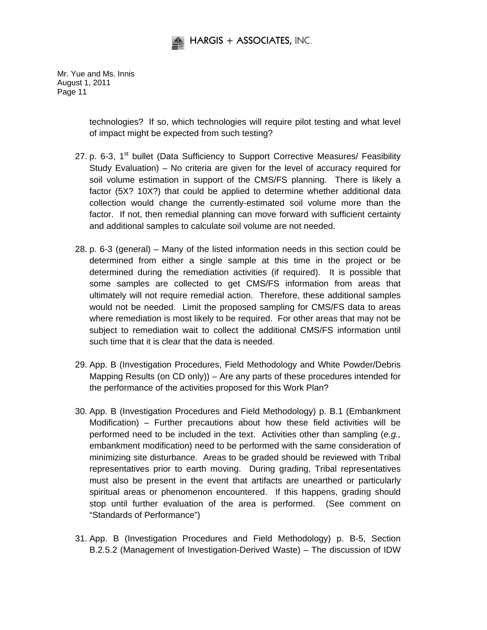

> technologies? If so, which technologies will require pilot testing and what level of impact might be expected from such testing?

- 27. p. 6-3, 1<sup>st</sup> bullet (Data Sufficiency to Support Corrective Measures/ Feasibility Study Evaluation) – No criteria are given for the level of accuracy required for soil volume estimation in support of the CMS/FS planning. There is likely a factor (5X? 10X?) that could be applied to determine whether additional data collection would change the currently-estimated soil volume more than the factor. If not, then remedial planning can move forward with sufficient certainty and additional samples to calculate soil volume are not needed.
- 28. p. 6-3 (general) Many of the listed information needs in this section could be determined from either a single sample at this time in the project or be determined during the remediation activities (if required). It is possible that some samples are collected to get CMS/FS information from areas that ultimately will not require remedial action. Therefore, these additional samples would not be needed. Limit the proposed sampling for CMS/FS data to areas where remediation is most likely to be required. For other areas that may not be subject to remediation wait to collect the additional CMS/FS information until such time that it is clear that the data is needed.
- 29. App. B (Investigation Procedures, Field Methodology and White Powder/Debris Mapping Results (on CD only)) – Are any parts of these procedures intended for the performance of the activities proposed for this Work Plan?
- 30. App. B (Investigation Procedures and Field Methodology) p. B.1 (Embankment Modification) – Further precautions about how these field activities will be performed need to be included in the text. Activities other than sampling (*e.g.,* embankment modification) need to be performed with the same consideration of minimizing site disturbance. Areas to be graded should be reviewed with Tribal representatives prior to earth moving. During grading, Tribal representatives must also be present in the event that artifacts are unearthed or particularly spiritual areas or phenomenon encountered. If this happens, grading should stop until further evaluation of the area is performed. (See comment on "Standards of Performance")
- 31. App. B (Investigation Procedures and Field Methodology) p. B-5, Section B.2.5.2 (Management of Investigation-Derived Waste) – The discussion of IDW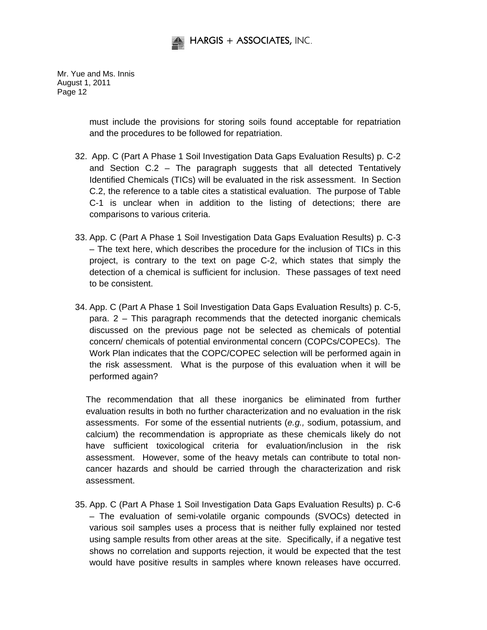

> must include the provisions for storing soils found acceptable for repatriation and the procedures to be followed for repatriation.

- 32. App. C (Part A Phase 1 Soil Investigation Data Gaps Evaluation Results) p. C-2 and Section C.2 – The paragraph suggests that all detected Tentatively Identified Chemicals (TICs) will be evaluated in the risk assessment. In Section C.2, the reference to a table cites a statistical evaluation. The purpose of Table C-1 is unclear when in addition to the listing of detections; there are comparisons to various criteria.
- 33. App. C (Part A Phase 1 Soil Investigation Data Gaps Evaluation Results) p. C-3 – The text here, which describes the procedure for the inclusion of TICs in this project, is contrary to the text on page C-2, which states that simply the detection of a chemical is sufficient for inclusion. These passages of text need to be consistent.
- 34. App. C (Part A Phase 1 Soil Investigation Data Gaps Evaluation Results) p. C-5, para. 2 – This paragraph recommends that the detected inorganic chemicals discussed on the previous page not be selected as chemicals of potential concern/ chemicals of potential environmental concern (COPCs/COPECs). The Work Plan indicates that the COPC/COPEC selection will be performed again in the risk assessment. What is the purpose of this evaluation when it will be performed again?

The recommendation that all these inorganics be eliminated from further evaluation results in both no further characterization and no evaluation in the risk assessments. For some of the essential nutrients (*e.g.,* sodium, potassium, and calcium) the recommendation is appropriate as these chemicals likely do not have sufficient toxicological criteria for evaluation/inclusion in the risk assessment. However, some of the heavy metals can contribute to total noncancer hazards and should be carried through the characterization and risk assessment.

35. App. C (Part A Phase 1 Soil Investigation Data Gaps Evaluation Results) p. C-6 – The evaluation of semi-volatile organic compounds (SVOCs) detected in various soil samples uses a process that is neither fully explained nor tested using sample results from other areas at the site. Specifically, if a negative test shows no correlation and supports rejection, it would be expected that the test would have positive results in samples where known releases have occurred.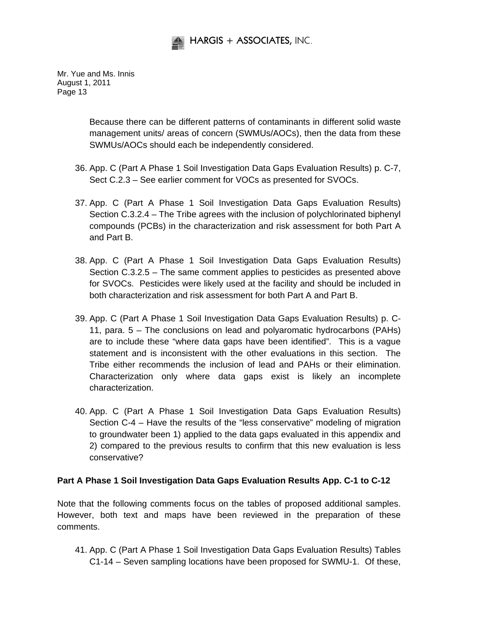

> Because there can be different patterns of contaminants in different solid waste management units/ areas of concern (SWMUs/AOCs), then the data from these SWMUs/AOCs should each be independently considered.

- 36. App. C (Part A Phase 1 Soil Investigation Data Gaps Evaluation Results) p. C-7, Sect C.2.3 – See earlier comment for VOCs as presented for SVOCs.
- 37. App. C (Part A Phase 1 Soil Investigation Data Gaps Evaluation Results) Section C.3.2.4 – The Tribe agrees with the inclusion of polychlorinated biphenyl compounds (PCBs) in the characterization and risk assessment for both Part A and Part B.
- 38. App. C (Part A Phase 1 Soil Investigation Data Gaps Evaluation Results) Section C.3.2.5 – The same comment applies to pesticides as presented above for SVOCs. Pesticides were likely used at the facility and should be included in both characterization and risk assessment for both Part A and Part B.
- 39. App. C (Part A Phase 1 Soil Investigation Data Gaps Evaluation Results) p. C-11, para. 5 – The conclusions on lead and polyaromatic hydrocarbons (PAHs) are to include these "where data gaps have been identified". This is a vague statement and is inconsistent with the other evaluations in this section. The Tribe either recommends the inclusion of lead and PAHs or their elimination. Characterization only where data gaps exist is likely an incomplete characterization.
- 40. App. C (Part A Phase 1 Soil Investigation Data Gaps Evaluation Results) Section C-4 – Have the results of the "less conservative" modeling of migration to groundwater been 1) applied to the data gaps evaluated in this appendix and 2) compared to the previous results to confirm that this new evaluation is less conservative?

# **Part A Phase 1 Soil Investigation Data Gaps Evaluation Results App. C-1 to C-12**

Note that the following comments focus on the tables of proposed additional samples. However, both text and maps have been reviewed in the preparation of these comments.

41. App. C (Part A Phase 1 Soil Investigation Data Gaps Evaluation Results) Tables C1-14 – Seven sampling locations have been proposed for SWMU-1. Of these,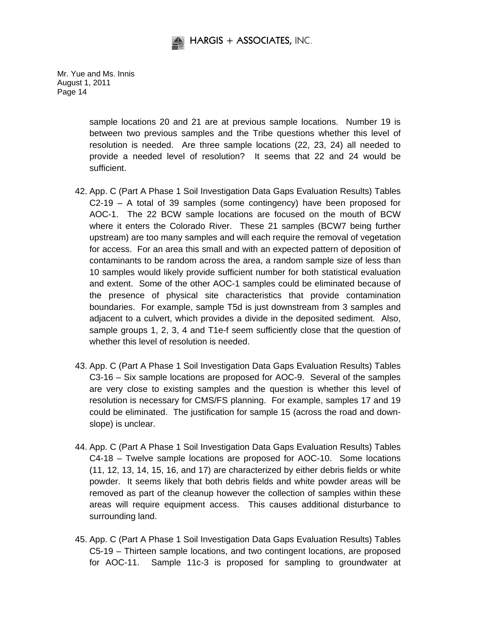

> sample locations 20 and 21 are at previous sample locations. Number 19 is between two previous samples and the Tribe questions whether this level of resolution is needed. Are three sample locations (22, 23, 24) all needed to provide a needed level of resolution? It seems that 22 and 24 would be sufficient.

- 42. App. C (Part A Phase 1 Soil Investigation Data Gaps Evaluation Results) Tables C2-19 – A total of 39 samples (some contingency) have been proposed for AOC-1. The 22 BCW sample locations are focused on the mouth of BCW where it enters the Colorado River. These 21 samples (BCW7 being further upstream) are too many samples and will each require the removal of vegetation for access. For an area this small and with an expected pattern of deposition of contaminants to be random across the area, a random sample size of less than 10 samples would likely provide sufficient number for both statistical evaluation and extent. Some of the other AOC-1 samples could be eliminated because of the presence of physical site characteristics that provide contamination boundaries. For example, sample T5d is just downstream from 3 samples and adjacent to a culvert, which provides a divide in the deposited sediment. Also, sample groups 1, 2, 3, 4 and T1e-f seem sufficiently close that the question of whether this level of resolution is needed.
- 43. App. C (Part A Phase 1 Soil Investigation Data Gaps Evaluation Results) Tables C3-16 – Six sample locations are proposed for AOC-9. Several of the samples are very close to existing samples and the question is whether this level of resolution is necessary for CMS/FS planning. For example, samples 17 and 19 could be eliminated. The justification for sample 15 (across the road and downslope) is unclear.
- 44. App. C (Part A Phase 1 Soil Investigation Data Gaps Evaluation Results) Tables C4-18 – Twelve sample locations are proposed for AOC-10. Some locations (11, 12, 13, 14, 15, 16, and 17) are characterized by either debris fields or white powder. It seems likely that both debris fields and white powder areas will be removed as part of the cleanup however the collection of samples within these areas will require equipment access. This causes additional disturbance to surrounding land.
- 45. App. C (Part A Phase 1 Soil Investigation Data Gaps Evaluation Results) Tables C5-19 – Thirteen sample locations, and two contingent locations, are proposed for AOC-11. Sample 11c-3 is proposed for sampling to groundwater at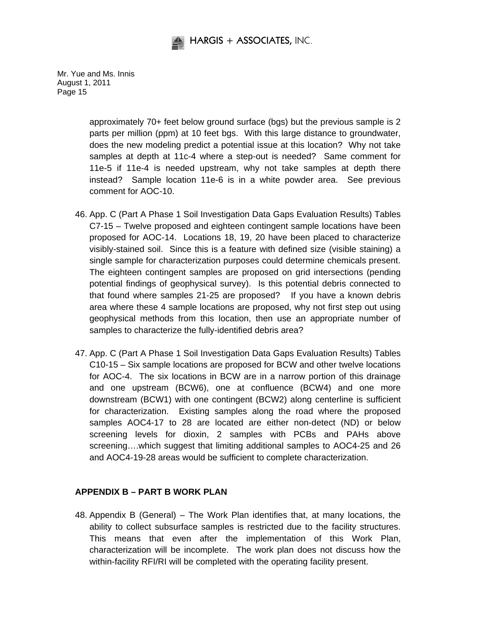

> approximately 70+ feet below ground surface (bgs) but the previous sample is 2 parts per million (ppm) at 10 feet bgs. With this large distance to groundwater, does the new modeling predict a potential issue at this location? Why not take samples at depth at 11c-4 where a step-out is needed? Same comment for 11e-5 if 11e-4 is needed upstream, why not take samples at depth there instead? Sample location 11e-6 is in a white powder area. See previous comment for AOC-10.

- 46. App. C (Part A Phase 1 Soil Investigation Data Gaps Evaluation Results) Tables C7-15 – Twelve proposed and eighteen contingent sample locations have been proposed for AOC-14. Locations 18, 19, 20 have been placed to characterize visibly-stained soil. Since this is a feature with defined size (visible staining) a single sample for characterization purposes could determine chemicals present. The eighteen contingent samples are proposed on grid intersections (pending potential findings of geophysical survey). Is this potential debris connected to that found where samples 21-25 are proposed? If you have a known debris area where these 4 sample locations are proposed, why not first step out using geophysical methods from this location, then use an appropriate number of samples to characterize the fully-identified debris area?
- 47. App. C (Part A Phase 1 Soil Investigation Data Gaps Evaluation Results) Tables C10-15 – Six sample locations are proposed for BCW and other twelve locations for AOC-4. The six locations in BCW are in a narrow portion of this drainage and one upstream (BCW6), one at confluence (BCW4) and one more downstream (BCW1) with one contingent (BCW2) along centerline is sufficient for characterization. Existing samples along the road where the proposed samples AOC4-17 to 28 are located are either non-detect (ND) or below screening levels for dioxin, 2 samples with PCBs and PAHs above screening....which suggest that limiting additional samples to AOC4-25 and 26 and AOC4-19-28 areas would be sufficient to complete characterization.

# **APPENDIX B – PART B WORK PLAN**

48. Appendix B (General) – The Work Plan identifies that, at many locations, the ability to collect subsurface samples is restricted due to the facility structures. This means that even after the implementation of this Work Plan, characterization will be incomplete. The work plan does not discuss how the within-facility RFI/RI will be completed with the operating facility present.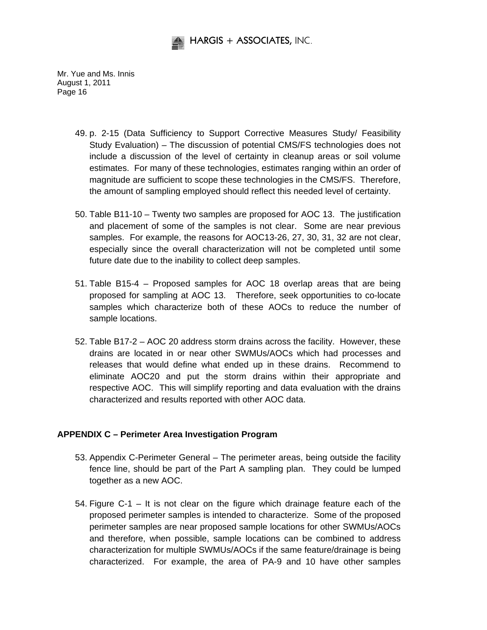

- 49. p. 2-15 (Data Sufficiency to Support Corrective Measures Study/ Feasibility Study Evaluation) – The discussion of potential CMS/FS technologies does not include a discussion of the level of certainty in cleanup areas or soil volume estimates. For many of these technologies, estimates ranging within an order of magnitude are sufficient to scope these technologies in the CMS/FS. Therefore, the amount of sampling employed should reflect this needed level of certainty.
- 50. Table B11-10 Twenty two samples are proposed for AOC 13. The justification and placement of some of the samples is not clear. Some are near previous samples. For example, the reasons for AOC13-26, 27, 30, 31, 32 are not clear, especially since the overall characterization will not be completed until some future date due to the inability to collect deep samples.
- 51. Table B15-4 Proposed samples for AOC 18 overlap areas that are being proposed for sampling at AOC 13. Therefore, seek opportunities to co-locate samples which characterize both of these AOCs to reduce the number of sample locations.
- 52. Table B17-2 AOC 20 address storm drains across the facility. However, these drains are located in or near other SWMUs/AOCs which had processes and releases that would define what ended up in these drains. Recommend to eliminate AOC20 and put the storm drains within their appropriate and respective AOC. This will simplify reporting and data evaluation with the drains characterized and results reported with other AOC data.

#### **APPENDIX C – Perimeter Area Investigation Program**

- 53. Appendix C-Perimeter General The perimeter areas, being outside the facility fence line, should be part of the Part A sampling plan. They could be lumped together as a new AOC.
- 54. Figure C-1 It is not clear on the figure which drainage feature each of the proposed perimeter samples is intended to characterize. Some of the proposed perimeter samples are near proposed sample locations for other SWMUs/AOCs and therefore, when possible, sample locations can be combined to address characterization for multiple SWMUs/AOCs if the same feature/drainage is being characterized. For example, the area of PA-9 and 10 have other samples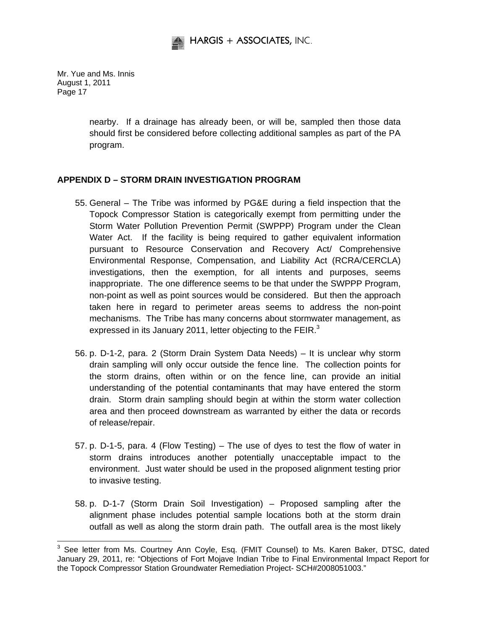

> nearby. If a drainage has already been, or will be, sampled then those data should first be considered before collecting additional samples as part of the PA program.

# **APPENDIX D – STORM DRAIN INVESTIGATION PROGRAM**

- 55. General The Tribe was informed by PG&E during a field inspection that the Topock Compressor Station is categorically exempt from permitting under the Storm Water Pollution Prevention Permit (SWPPP) Program under the Clean Water Act. If the facility is being required to gather equivalent information pursuant to Resource Conservation and Recovery Act/ Comprehensive Environmental Response, Compensation, and Liability Act (RCRA/CERCLA) investigations, then the exemption, for all intents and purposes, seems inappropriate. The one difference seems to be that under the SWPPP Program, non-point as well as point sources would be considered. But then the approach taken here in regard to perimeter areas seems to address the non-point mechanisms. The Tribe has many concerns about stormwater management, as expressed in its January 2011, letter objecting to the FEIR.<sup>3</sup>
- 56. p. D-1-2, para. 2 (Storm Drain System Data Needs) It is unclear why storm drain sampling will only occur outside the fence line. The collection points for the storm drains, often within or on the fence line, can provide an initial understanding of the potential contaminants that may have entered the storm drain. Storm drain sampling should begin at within the storm water collection area and then proceed downstream as warranted by either the data or records of release/repair.
- 57. p. D-1-5, para. 4 (Flow Testing) The use of dyes to test the flow of water in storm drains introduces another potentially unacceptable impact to the environment. Just water should be used in the proposed alignment testing prior to invasive testing.
- 58. p. D-1-7 (Storm Drain Soil Investigation) Proposed sampling after the alignment phase includes potential sample locations both at the storm drain outfall as well as along the storm drain path. The outfall area is the most likely

 3 See letter from Ms. Courtney Ann Coyle, Esq. (FMIT Counsel) to Ms. Karen Baker, DTSC, dated January 29, 2011, re: "Objections of Fort Mojave Indian Tribe to Final Environmental Impact Report for the Topock Compressor Station Groundwater Remediation Project- SCH#2008051003."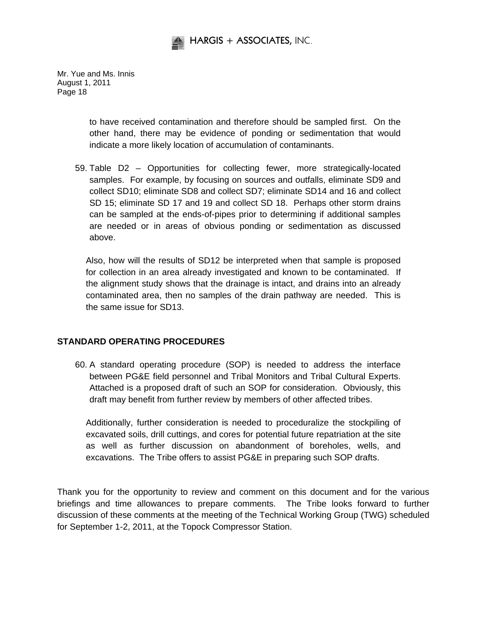

> to have received contamination and therefore should be sampled first. On the other hand, there may be evidence of ponding or sedimentation that would indicate a more likely location of accumulation of contaminants.

59. Table D2 – Opportunities for collecting fewer, more strategically-located samples. For example, by focusing on sources and outfalls, eliminate SD9 and collect SD10; eliminate SD8 and collect SD7; eliminate SD14 and 16 and collect SD 15; eliminate SD 17 and 19 and collect SD 18. Perhaps other storm drains can be sampled at the ends-of-pipes prior to determining if additional samples are needed or in areas of obvious ponding or sedimentation as discussed above.

Also, how will the results of SD12 be interpreted when that sample is proposed for collection in an area already investigated and known to be contaminated. If the alignment study shows that the drainage is intact, and drains into an already contaminated area, then no samples of the drain pathway are needed. This is the same issue for SD13.

#### **STANDARD OPERATING PROCEDURES**

60. A standard operating procedure (SOP) is needed to address the interface between PG&E field personnel and Tribal Monitors and Tribal Cultural Experts. Attached is a proposed draft of such an SOP for consideration. Obviously, this draft may benefit from further review by members of other affected tribes.

Additionally, further consideration is needed to proceduralize the stockpiling of excavated soils, drill cuttings, and cores for potential future repatriation at the site as well as further discussion on abandonment of boreholes, wells, and excavations. The Tribe offers to assist PG&E in preparing such SOP drafts.

Thank you for the opportunity to review and comment on this document and for the various briefings and time allowances to prepare comments. The Tribe looks forward to further discussion of these comments at the meeting of the Technical Working Group (TWG) scheduled for September 1-2, 2011, at the Topock Compressor Station.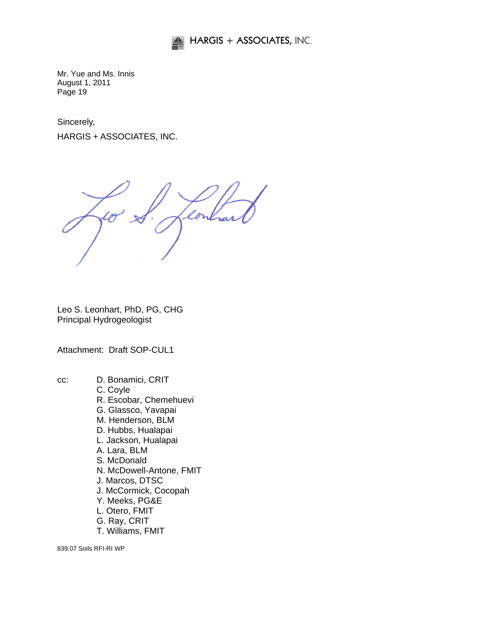

Sincerely,

HARGIS + ASSOCIATES, INC.

Leo S. Leonhart, PhD, PG, CHG Principal Hydrogeologist

Attachment: Draft SOP-CUL1

cc: D. Bonamici, CRIT C. Coyle R. Escobar, Chemehuevi G. Glassco, Yavapai M. Henderson, BLM D. Hubbs, Hualapai L. Jackson, Hualapai A. Lara, BLM S. McDonald N. McDowell-Antone, FMIT J. Marcos, DTSC J. McCormick, Cocopah Y. Meeks, PG&E L. Otero, FMIT G. Ray, CRIT T. Williams, FMIT

839.07 Soils RFI-RI WP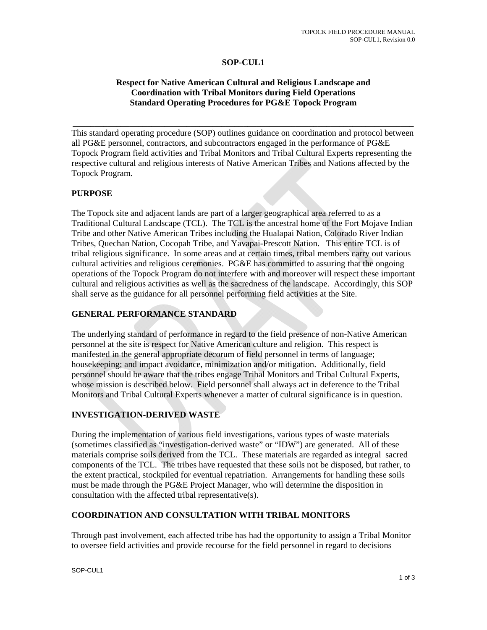#### **SOP-CUL1**

### **Respect for Native American Cultural and Religious Landscape and Coordination with Tribal Monitors during Field Operations Standard Operating Procedures for PG&E Topock Program**

**\_\_\_\_\_\_\_\_\_\_\_\_\_\_\_\_\_\_\_\_\_\_\_\_\_\_\_\_\_\_\_\_\_\_\_\_\_\_\_\_\_\_\_\_\_\_\_\_\_\_\_\_\_\_\_\_\_\_\_\_\_\_\_\_\_\_\_\_\_\_\_\_\_\_\_\_\_\_** 

This standard operating procedure (SOP) outlines guidance on coordination and protocol between all PG&E personnel, contractors, and subcontractors engaged in the performance of PG&E Topock Program field activities and Tribal Monitors and Tribal Cultural Experts representing the respective cultural and religious interests of Native American Tribes and Nations affected by the Topock Program.

#### **PURPOSE**

The Topock site and adjacent lands are part of a larger geographical area referred to as a Traditional Cultural Landscape (TCL). The TCL is the ancestral home of the Fort Mojave Indian Tribe and other Native American Tribes including the Hualapai Nation, Colorado River Indian Tribes, Quechan Nation, Cocopah Tribe, and Yavapai-Prescott Nation. This entire TCL is of tribal religious significance. In some areas and at certain times, tribal members carry out various cultural activities and religious ceremonies. PG&E has committed to assuring that the ongoing operations of the Topock Program do not interfere with and moreover will respect these important cultural and religious activities as well as the sacredness of the landscape. Accordingly, this SOP shall serve as the guidance for all personnel performing field activities at the Site.

#### **GENERAL PERFORMANCE STANDARD**

The underlying standard of performance in regard to the field presence of non-Native American personnel at the site is respect for Native American culture and religion. This respect is manifested in the general appropriate decorum of field personnel in terms of language; housekeeping; and impact avoidance, minimization and/or mitigation. Additionally, field personnel should be aware that the tribes engage Tribal Monitors and Tribal Cultural Experts, whose mission is described below. Field personnel shall always act in deference to the Tribal Monitors and Tribal Cultural Experts whenever a matter of cultural significance is in question.

#### **INVESTIGATION-DERIVED WASTE**

During the implementation of various field investigations, various types of waste materials (sometimes classified as "investigation-derived waste" or "IDW") are generated. All of these materials comprise soils derived from the TCL. These materials are regarded as integral sacred components of the TCL. The tribes have requested that these soils not be disposed, but rather, to the extent practical, stockpiled for eventual repatriation. Arrangements for handling these soils must be made through the PG&E Project Manager, who will determine the disposition in consultation with the affected tribal representative(s).

#### **COORDINATION AND CONSULTATION WITH TRIBAL MONITORS**

Through past involvement, each affected tribe has had the opportunity to assign a Tribal Monitor to oversee field activities and provide recourse for the field personnel in regard to decisions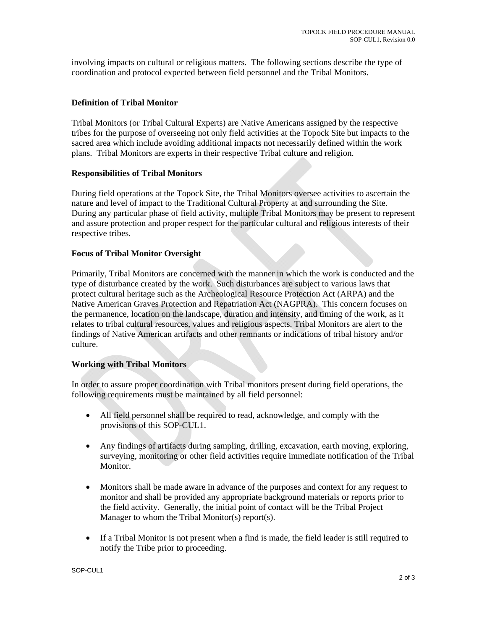involving impacts on cultural or religious matters. The following sections describe the type of coordination and protocol expected between field personnel and the Tribal Monitors.

### **Definition of Tribal Monitor**

Tribal Monitors (or Tribal Cultural Experts) are Native Americans assigned by the respective tribes for the purpose of overseeing not only field activities at the Topock Site but impacts to the sacred area which include avoiding additional impacts not necessarily defined within the work plans. Tribal Monitors are experts in their respective Tribal culture and religion.

#### **Responsibilities of Tribal Monitors**

During field operations at the Topock Site, the Tribal Monitors oversee activities to ascertain the nature and level of impact to the Traditional Cultural Property at and surrounding the Site. During any particular phase of field activity, multiple Tribal Monitors may be present to represent and assure protection and proper respect for the particular cultural and religious interests of their respective tribes.

#### **Focus of Tribal Monitor Oversight**

Primarily, Tribal Monitors are concerned with the manner in which the work is conducted and the type of disturbance created by the work. Such disturbances are subject to various laws that protect cultural heritage such as the Archeological Resource Protection Act (ARPA) and the Native American Graves Protection and Repatriation Act (NAGPRA). This concern focuses on the permanence, location on the landscape, duration and intensity, and timing of the work, as it relates to tribal cultural resources, values and religious aspects. Tribal Monitors are alert to the findings of Native American artifacts and other remnants or indications of tribal history and/or culture.

#### **Working with Tribal Monitors**

In order to assure proper coordination with Tribal monitors present during field operations, the following requirements must be maintained by all field personnel:

- All field personnel shall be required to read, acknowledge, and comply with the provisions of this SOP-CUL1.
- Any findings of artifacts during sampling, drilling, excavation, earth moving, exploring, surveying, monitoring or other field activities require immediate notification of the Tribal Monitor.
- Monitors shall be made aware in advance of the purposes and context for any request to monitor and shall be provided any appropriate background materials or reports prior to the field activity. Generally, the initial point of contact will be the Tribal Project Manager to whom the Tribal Monitor(s) report(s).
- If a Tribal Monitor is not present when a find is made, the field leader is still required to notify the Tribe prior to proceeding.